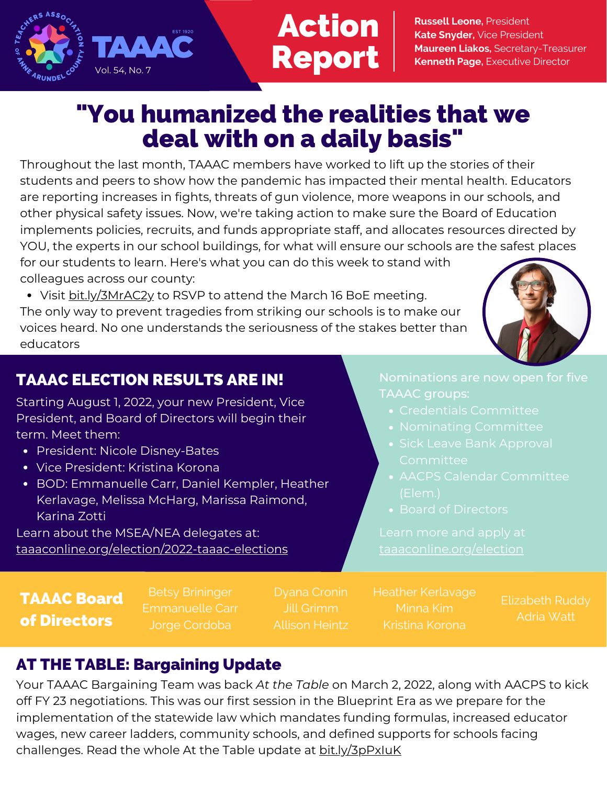

# Action Report

**Russell Leone,** President **Kate Snyder,** Vice President **Maureen Liakos,** Secretary-Treasurer **Kenneth Page,** Executive Director

### "You humanized the realities that we deal with on a daily basis"

Throughout the last month, TAAAC members have worked to lift up the stories of their students and peers to show how the pandemic has impacted their mental health. Educators are reporting increases in fights, threats of gun violence, more weapons in our schools, and other physical safety issues. Now, we're taking action to make sure the Board of Education implements policies, recruits, and funds appropriate staff, and allocates resources directed by YOU, the experts in our school buildings, for what will ensure our schools are the safest places for our students to learn. Here's what you can do this week to stand with colleagues across our county:

• Visit bit.ly/3MrAC2y to RSVP to attend the March 16 BoE [meeting](https://secure.ngpvan.com/n2_zyZu8OEeW2Iy3A1aObg2).

The only way to prevent tragedies from striking our schools is to make our voices heard. No one understands the seriousness of the stakes better than educators



#### TAAAC ELECTION RESULTS ARE IN!

Starting August 1, 2022, your new President, Vice President, and Board of Directors will begin their term. Meet them:

- President: Nicole Disney-Bates
- Vice President: Kristina Korona
- BOD: Emmanuelle Carr, Daniel Kempler, Heather Kerlavage, Melissa McHarg, Marissa Raimond, Karina Zotti

Learn about the MSEA/NEA delegates at: taaaconline.org/election/2022-taaac-elections TAAAC groups:

- 
- 
- 
- 
- 

TAAAC Board of Directors

Emmanuelle Carr

Allison Heintz

Kristina Korona

Elizabeth Ruddy Adria Watt

### AT THE TABLE: Bargaining Update

Your TAAAC Bargaining Team was back *At the Table* on March 2, 2022, along with AACPS to kick off FY 23 negotiations. This was our first session in the Blueprint Era as we prepare for the implementation of the statewide law which mandates funding formulas, increased educator wages, new career ladders, community schools, and defined supports for schools facing challenges. Read the whole At the Table update at **bit.**ly/3pPxIuK